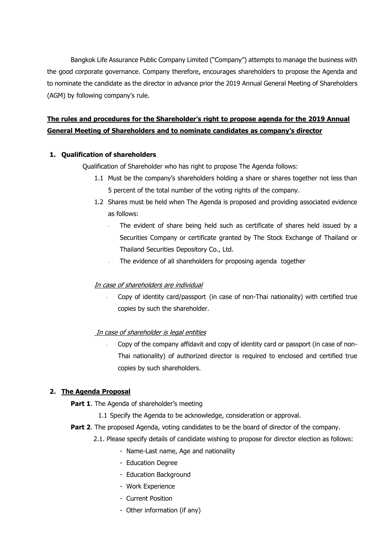Bangkok Life Assurance Public Company Limited ("Company") attempts to manage the business with the good corporate governance. Company therefore, encourages shareholders to propose the Agenda and to nominate the candidate as the director in advance prior the 2019 Annual General Meeting of Shareholders (AGM) by following company's rule.

# **The rules and procedures for the Shareholder's right to propose agenda for the 2019 Annual General Meeting of Shareholders and to nominate candidates as company's director**

## **1. Qualification of shareholders**

Qualification of Shareholder who has right to propose The Agenda follows:

- 1.1 Must be the company's shareholders holding a share or shares together not less than 5 percent of the total number of the voting rights of the company.
- 1.2 Shares must be held when The Agenda is proposed and providing associated evidence as follows:
	- The evident of share being held such as certificate of shares held issued by a Securities Company or certificate granted by The Stock Exchange of Thailand or Thailand Securities Depository Co., Ltd.
	- The evidence of all shareholders for proposing agenda together

# In case of shareholders are individual

Copy of identity card/passport (in case of non-Thai nationality) with certified true copies by such the shareholder.

### In case of shareholder is legal entities

- Copy of the company affidavit and copy of identity card or passport (in case of non-Thai nationality) of authorized director is required to enclosed and certified true copies by such shareholders.

# **2. The Agenda Proposal**

- Part 1. The Agenda of shareholder's meeting
	- 1.1 Specify the Agenda to be acknowledge, consideration or approval.
- **Part 2.** The proposed Agenda, voting candidates to be the board of director of the company.
	- 2.1. Please specify details of candidate wishing to propose for director election as follows:
		- Name-Last name, Age and nationality
		- Education Degree
		- Education Background
		- Work Experience
		- Current Position
		- Other information (if any)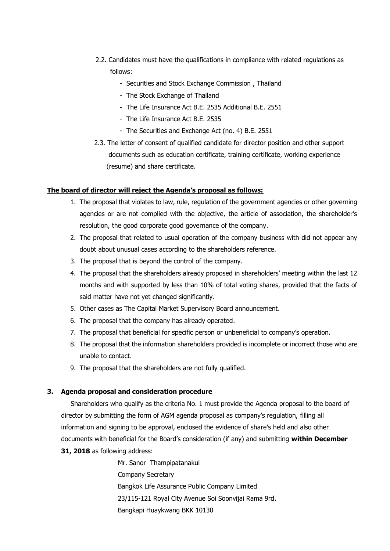- 2.2. Candidates must have the qualifications in compliance with related regulations as follows:
	- Securities and Stock Exchange Commission , Thailand
	- The Stock Exchange of Thailand
	- The Life Insurance Act B.F. 2535 Additional B.F. 2551
	- The Life Insurance Act B.E. 2535
	- The Securities and Exchange Act (no. 4) B.E. 2551
- 2.3. The letter of consent of qualified candidate for director position and other support documents such as education certificate, training certificate, working experience (resume) and share certificate.

#### **The board of director will reject the Agenda's proposal as follows:**

- 1. The proposal that violates to law, rule, regulation of the government agencies or other governing agencies or are not complied with the objective, the article of association, the shareholder's resolution, the good corporate good governance of the company.
- 2. The proposal that related to usual operation of the company business with did not appear any doubt about unusual cases according to the shareholders reference.
- 3. The proposal that is beyond the control of the company.
- 4. The proposal that the shareholders already proposed in shareholders' meeting within the last 12 months and with supported by less than 10% of total voting shares, provided that the facts of said matter have not yet changed significantly.
- 5. Other cases as The Capital Market Supervisory Board announcement.
- 6. The proposal that the company has already operated.
- 7. The proposal that beneficial for specific person or unbeneficial to company's operation.
- 8. The proposal that the information shareholders provided is incomplete or incorrect those who are unable to contact.
- 9. The proposal that the shareholders are not fully qualified.

#### **3. Agenda proposal and consideration procedure**

Shareholders who qualify as the criteria No. 1 must provide the Agenda proposal to the board of director by submitting the form of AGM agenda proposal as company's regulation, filling all information and signing to be approval, enclosed the evidence of share's held and also other documents with beneficial for the Board's consideration (if any) and submitting **within December 31, 2018** as following address:

> Mr. Sanor Thampipatanakul Company Secretary Bangkok Life Assurance Public Company Limited 23/115-121 Royal City Avenue Soi Soonvijai Rama 9rd. Bangkapi Huaykwang BKK 10130